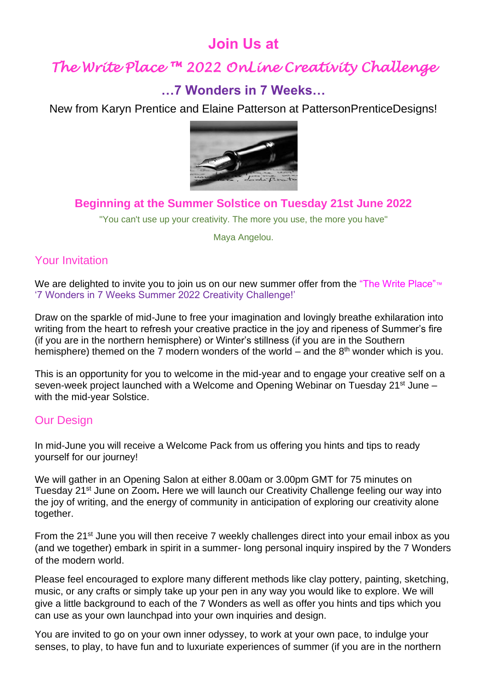## **Join Us at**

# *The Write Place ™ 2022 OnLine Creativity Challenge*

### **…7 Wonders in 7 Weeks…**

New from Karyn Prentice and Elaine Patterson at PattersonPrenticeDesigns!



### **Beginning at the Summer Solstice on Tuesday 21st June 2022**

"You can't use up your creativity. The more you use, the more you have"

Maya Angelou.

### Your Invitation

We are delighted to invite you to join us on our new summer offer from the "The Write Place"™ '7 Wonders in 7 Weeks Summer 2022 Creativity Challenge!'

Draw on the sparkle of mid-June to free your imagination and lovingly breathe exhilaration into writing from the heart to refresh your creative practice in the joy and ripeness of Summer's fire (if you are in the northern hemisphere) or Winter's stillness (if you are in the Southern hemisphere) themed on the 7 modern wonders of the world – and the  $8<sup>th</sup>$  wonder which is you.

This is an opportunity for you to welcome in the mid-year and to engage your creative self on a seven-week project launched with a Welcome and Opening Webinar on Tuesday 21<sup>st</sup> June – with the mid-year Solstice.

#### Our Design

In mid-June you will receive a Welcome Pack from us offering you hints and tips to ready yourself for our journey!

We will gather in an Opening Salon at either 8.00am or 3.00pm GMT for 75 minutes on Tuesday 21<sup>st</sup> June on Zoom. Here we will launch our Creativity Challenge feeling our way into the joy of writing, and the energy of community in anticipation of exploring our creativity alone together.

From the 21<sup>st</sup> June you will then receive 7 weekly challenges direct into your email inbox as you (and we together) embark in spirit in a summer- long personal inquiry inspired by the 7 Wonders of the modern world.

Please feel encouraged to explore many different methods like clay pottery, painting, sketching, music, or any crafts or simply take up your pen in any way you would like to explore. We will give a little background to each of the 7 Wonders as well as offer you hints and tips which you can use as your own launchpad into your own inquiries and design.

You are invited to go on your own inner odyssey, to work at your own pace, to indulge your senses, to play, to have fun and to luxuriate experiences of summer (if you are in the northern